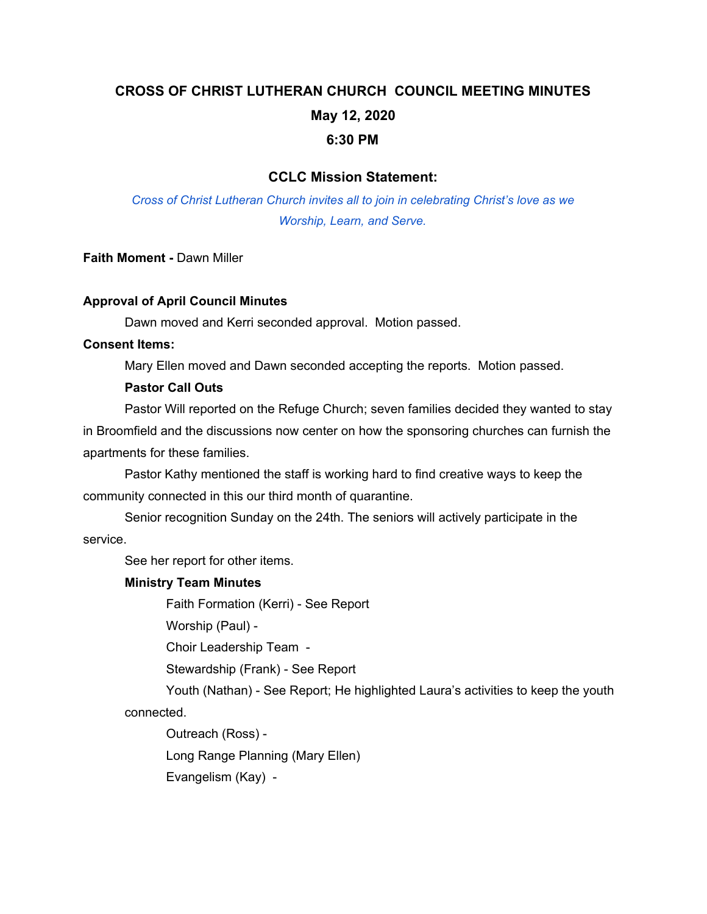# **CROSS OF CHRIST LUTHERAN CHURCH COUNCIL MEETING MINUTES May 12, 2020 6:30 PM**

## **CCLC Mission Statement:**

*Cross of Christ Lutheran Church invites all to join in celebrating Christ's love as we Worship, Learn, and Serve.*

**Faith Moment -** Dawn Miller

#### **Approval of April Council Minutes**

Dawn moved and Kerri seconded approval. Motion passed.

#### **Consent Items:**

Mary Ellen moved and Dawn seconded accepting the reports. Motion passed.

#### **Pastor Call Outs**

Pastor Will reported on the Refuge Church; seven families decided they wanted to stay in Broomfield and the discussions now center on how the sponsoring churches can furnish the apartments for these families.

Pastor Kathy mentioned the staff is working hard to find creative ways to keep the community connected in this our third month of quarantine.

Senior recognition Sunday on the 24th. The seniors will actively participate in the service.

See her report for other items.

## **Ministry Team Minutes**

Faith Formation (Kerri) - See Report

Worship (Paul) -

Choir Leadership Team -

Stewardship (Frank) - See Report

Youth (Nathan) - See Report; He highlighted Laura's activities to keep the youth connected.

Outreach (Ross) -

Long Range Planning (Mary Ellen)

Evangelism (Kay) -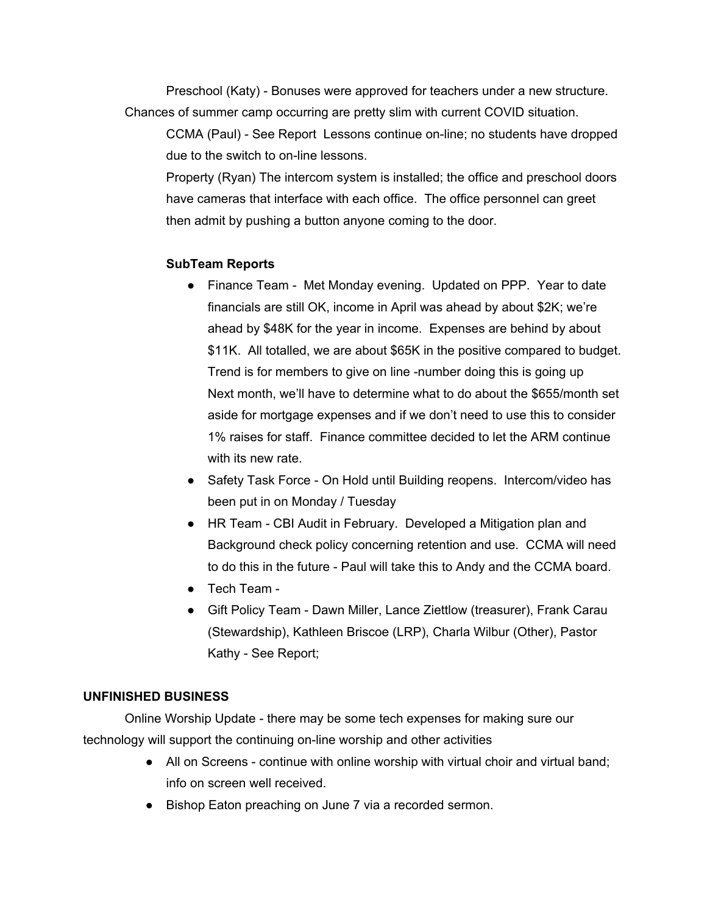Preschool (Katy) - Bonuses were approved for teachers under a new structure. Chances of summer camp occurring are pretty slim with current COVID situation.

CCMA (Paul) - See Report Lessons continue on-line; no students have dropped due to the switch to on-line lessons.

Property (Ryan) The intercom system is installed; the office and preschool doors have cameras that interface with each office. The office personnel can greet then admit by pushing a button anyone coming to the door.

# **SubTeam Reports**

- Finance Team Met Monday evening. Updated on PPP. Year to date financials are still OK, income in April was ahead by about \$2K; we're ahead by \$48K for the year in income. Expenses are behind by about \$11K. All totalled, we are about \$65K in the positive compared to budget. Trend is for members to give on line -number doing this is going up Next month, we'll have to determine what to do about the \$655/month set aside for mortgage expenses and if we don't need to use this to consider 1% raises for staff. Finance committee decided to let the ARM continue with its new rate.
- Safety Task Force On Hold until Building reopens. Intercom/video has been put in on Monday / Tuesday
- HR Team CBI Audit in February. Developed a Mitigation plan and Background check policy concerning retention and use. CCMA will need to do this in the future - Paul will take this to Andy and the CCMA board.
- Tech Team -
- Gift Policy Team Dawn Miller, Lance Ziettlow (treasurer), Frank Carau (Stewardship), Kathleen Briscoe (LRP), Charla Wilbur (Other), Pastor Kathy - See Report;

# **UNFINISHED BUSINESS**

Online Worship Update - there may be some tech expenses for making sure our technology will support the continuing on-line worship and other activities

- All on Screens continue with online worship with virtual choir and virtual band; info on screen well received.
- Bishop Eaton preaching on June 7 via a recorded sermon.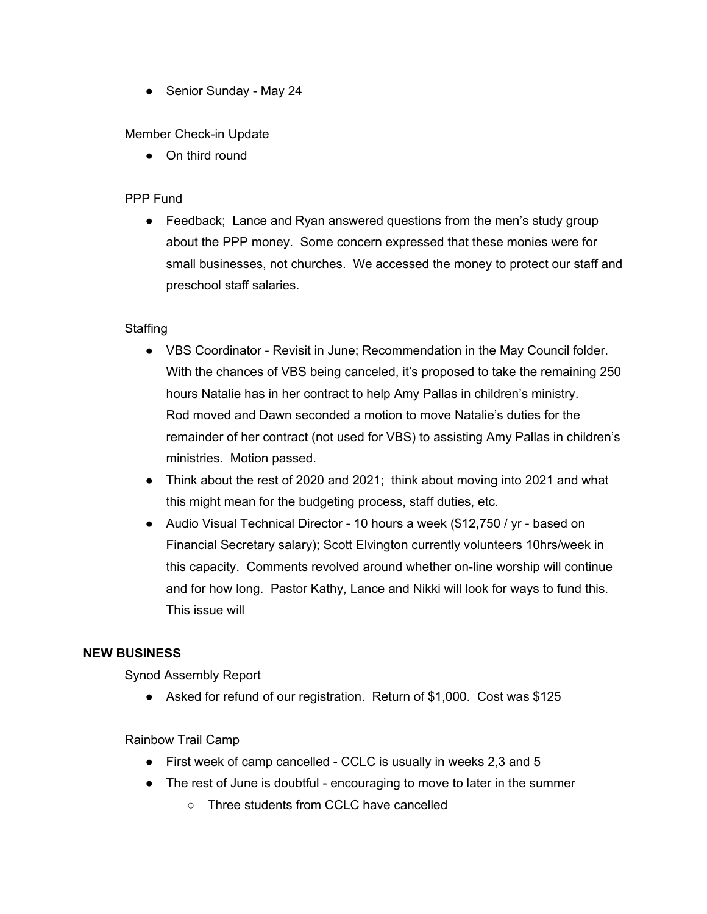• Senior Sunday - May 24

## Member Check-in Update

● On third round

# PPP Fund

• Feedback; Lance and Ryan answered questions from the men's study group about the PPP money. Some concern expressed that these monies were for small businesses, not churches. We accessed the money to protect our staff and preschool staff salaries.

## **Staffing**

- VBS Coordinator Revisit in June; Recommendation in the May Council folder. With the chances of VBS being canceled, it's proposed to take the remaining 250 hours Natalie has in her contract to help Amy Pallas in children's ministry. Rod moved and Dawn seconded a motion to move Natalie's duties for the remainder of her contract (not used for VBS) to assisting Amy Pallas in children's ministries. Motion passed.
- Think about the rest of 2020 and 2021; think about moving into 2021 and what this might mean for the budgeting process, staff duties, etc.
- Audio Visual Technical Director 10 hours a week (\$12,750 / yr based on Financial Secretary salary); Scott Elvington currently volunteers 10hrs/week in this capacity. Comments revolved around whether on-line worship will continue and for how long. Pastor Kathy, Lance and Nikki will look for ways to fund this. This issue will

## **NEW BUSINESS**

Synod Assembly Report

● Asked for refund of our registration. Return of \$1,000. Cost was \$125

Rainbow Trail Camp

- First week of camp cancelled CCLC is usually in weeks 2,3 and 5
- The rest of June is doubtful encouraging to move to later in the summer
	- Three students from CCLC have cancelled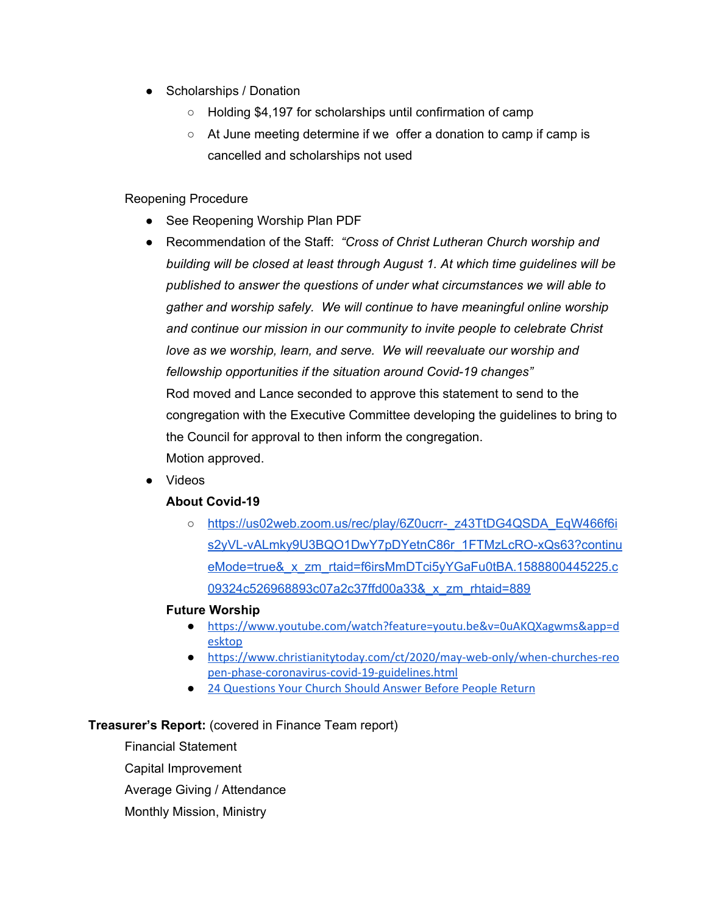- Scholarships / Donation
	- Holding \$4,197 for scholarships until confirmation of camp
	- At June meeting determine if we offer a donation to camp if camp is cancelled and scholarships not used

### Reopening Procedure

- See Reopening Worship Plan PDF
- Recommendation of the Staff: *"Cross of Christ Lutheran Church worship and building will be closed at least through August 1. At which time guidelines will be published to answer the questions of under what circumstances we will able to gather and worship safely. We will continue to have meaningful online worship and continue our mission in our community to invite people to celebrate Christ love as we worship, learn, and serve. We will reevaluate our worship and fellowship opportunities if the situation around Covid-19 changes"* Rod moved and Lance seconded to approve this statement to send to the congregation with the Executive Committee developing the guidelines to bring to the Council for approval to then inform the congregation. Motion approved.
- Videos

## **About Covid-19**

○ [https://us02web.zoom.us/rec/play/6Z0ucrr-\\_z43TtDG4QSDA\\_EqW466f6i](https://us02web.zoom.us/rec/play/6Z0ucrr-_z43TtDG4QSDA_EqW466f6is2yVL-vALmky9U3BQO1DwY7pDYetnC86r_1FTMzLcRO-xQs63?continueMode=true&_x_zm_rtaid=f6irsMmDTci5yYGaFu0tBA.1588800445225.c09324c526968893c07a2c37ffd00a33&_x_zm_rhtaid=889) [s2yVL-vALmky9U3BQO1DwY7pDYetnC86r\\_1FTMzLcRO-xQs63?continu](https://us02web.zoom.us/rec/play/6Z0ucrr-_z43TtDG4QSDA_EqW466f6is2yVL-vALmky9U3BQO1DwY7pDYetnC86r_1FTMzLcRO-xQs63?continueMode=true&_x_zm_rtaid=f6irsMmDTci5yYGaFu0tBA.1588800445225.c09324c526968893c07a2c37ffd00a33&_x_zm_rhtaid=889) eMode=true& x zm\_rtaid=f6irsMmDTci5yYGaFu0tBA.1588800445225.c [09324c526968893c07a2c37ffd00a33&\\_x\\_zm\\_rhtaid=889](https://us02web.zoom.us/rec/play/6Z0ucrr-_z43TtDG4QSDA_EqW466f6is2yVL-vALmky9U3BQO1DwY7pDYetnC86r_1FTMzLcRO-xQs63?continueMode=true&_x_zm_rtaid=f6irsMmDTci5yYGaFu0tBA.1588800445225.c09324c526968893c07a2c37ffd00a33&_x_zm_rhtaid=889)

#### **Future Worship**

- [https://www.youtube.com/watch?feature=youtu.be&v=0uAKQXagwms&app=d](https://www.youtube.com/watch?feature=youtu.be&v=0uAKQXagwms&app=desktop) [esktop](https://www.youtube.com/watch?feature=youtu.be&v=0uAKQXagwms&app=desktop)
- [https://www.christianitytoday.com/ct/2020/may-web-only/when-churches-reo](https://www.christianitytoday.com/ct/2020/may-web-only/when-churches-reopen-phase-coronavirus-covid-19-guidelines.html) [pen-phase-coronavirus-covid-19-guidelines.html](https://www.christianitytoday.com/ct/2020/may-web-only/when-churches-reopen-phase-coronavirus-covid-19-guidelines.html)
- 24 [Questions](https://kenbraddy.com/2020/04/18/20-questions-your-church-should-answer-before-people-return/) Your Church Should Answer Before People Return

#### **Treasurer's Report:** (covered in Finance Team report)

Financial Statement Capital Improvement Average Giving / Attendance Monthly Mission, Ministry